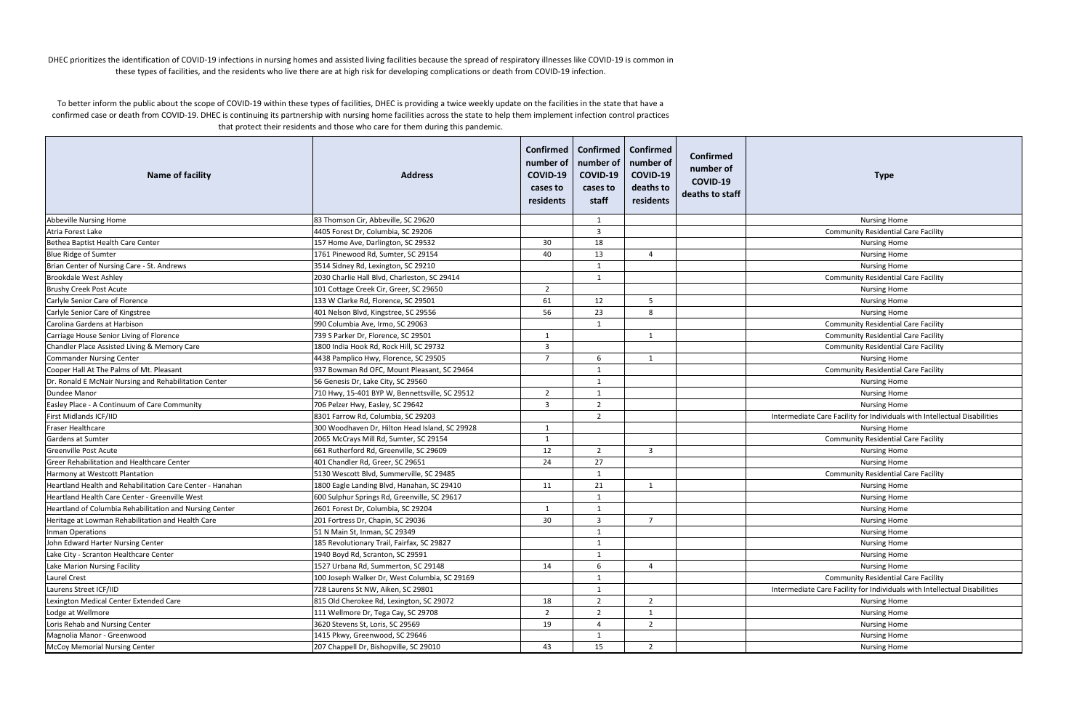| <b>Name of facility</b>                                   | <b>Address</b>                                 | number of<br>COVID-19<br>cases to<br>residents | Confirmed   Confirmed   Confirmed<br>number of<br>COVID-19<br>cases to<br>staff | number of<br>COVID-19<br>deaths to<br>residents | <b>Confirmed</b><br>number of<br>COVID-19<br>deaths to staff | <b>Type</b>                                                               |
|-----------------------------------------------------------|------------------------------------------------|------------------------------------------------|---------------------------------------------------------------------------------|-------------------------------------------------|--------------------------------------------------------------|---------------------------------------------------------------------------|
| Abbeville Nursing Home                                    | 83 Thomson Cir, Abbeville, SC 29620            |                                                | 1                                                                               |                                                 |                                                              | <b>Nursing Home</b>                                                       |
| Atria Forest Lake                                         | 4405 Forest Dr, Columbia, SC 29206             |                                                | $\overline{3}$                                                                  |                                                 |                                                              | <b>Community Residential Care Facility</b>                                |
| Bethea Baptist Health Care Center                         | 157 Home Ave, Darlington, SC 29532             | 30                                             | 18                                                                              |                                                 |                                                              | Nursing Home                                                              |
| <b>Blue Ridge of Sumter</b>                               | 1761 Pinewood Rd, Sumter, SC 29154             | 40                                             | 13                                                                              | $\overline{a}$                                  |                                                              | <b>Nursing Home</b>                                                       |
| Brian Center of Nursing Care - St. Andrews                | 3514 Sidney Rd, Lexington, SC 29210            |                                                | -1                                                                              |                                                 |                                                              | <b>Nursing Home</b>                                                       |
| <b>Brookdale West Ashley</b>                              | 2030 Charlie Hall Blvd, Charleston, SC 29414   |                                                | $\mathbf{1}$                                                                    |                                                 |                                                              | <b>Community Residential Care Facility</b>                                |
| <b>Brushy Creek Post Acute</b>                            | 101 Cottage Creek Cir, Greer, SC 29650         | $\overline{2}$                                 |                                                                                 |                                                 |                                                              | <b>Nursing Home</b>                                                       |
| Carlyle Senior Care of Florence                           | 133 W Clarke Rd, Florence, SC 29501            | 61                                             | 12                                                                              | -5                                              |                                                              | <b>Nursing Home</b>                                                       |
| Carlyle Senior Care of Kingstree                          | 401 Nelson Blvd, Kingstree, SC 29556           | 56                                             | 23                                                                              | 8                                               |                                                              | <b>Nursing Home</b>                                                       |
| Carolina Gardens at Harbison                              | 990 Columbia Ave, Irmo, SC 29063               |                                                | -1                                                                              |                                                 |                                                              | <b>Community Residential Care Facility</b>                                |
| Carriage House Senior Living of Florence                  | 739 S Parker Dr, Florence, SC 29501            |                                                |                                                                                 |                                                 |                                                              | <b>Community Residential Care Facility</b>                                |
| Chandler Place Assisted Living & Memory Care              | 1800 India Hook Rd, Rock Hill, SC 29732        | 3                                              |                                                                                 |                                                 |                                                              | <b>Community Residential Care Facility</b>                                |
| <b>Commander Nursing Center</b>                           | 4438 Pamplico Hwy, Florence, SC 29505          | $\overline{7}$                                 | 6                                                                               | 1                                               |                                                              | <b>Nursing Home</b>                                                       |
| Cooper Hall At The Palms of Mt. Pleasant                  | 937 Bowman Rd OFC, Mount Pleasant, SC 29464    |                                                | $\overline{1}$                                                                  |                                                 |                                                              | <b>Community Residential Care Facility</b>                                |
| Dr. Ronald E McNair Nursing and Rehabilitation Center     | 56 Genesis Dr, Lake City, SC 29560             |                                                | 1                                                                               |                                                 |                                                              | <b>Nursing Home</b>                                                       |
| Dundee Manor                                              | 710 Hwy, 15-401 BYP W, Bennettsville, SC 29512 | $\overline{2}$                                 | -1                                                                              |                                                 |                                                              | <b>Nursing Home</b>                                                       |
| Easley Place - A Continuum of Care Community              | 706 Pelzer Hwy, Easley, SC 29642               | 3                                              | $\overline{2}$                                                                  |                                                 |                                                              | <b>Nursing Home</b>                                                       |
| First Midlands ICF/IID                                    | 8301 Farrow Rd, Columbia, SC 29203             |                                                | $\overline{2}$                                                                  |                                                 |                                                              | Intermediate Care Facility for Individuals with Intellectual Disabilities |
| Fraser Healthcare                                         | 300 Woodhaven Dr, Hilton Head Island, SC 29928 | -1                                             |                                                                                 |                                                 |                                                              | <b>Nursing Home</b>                                                       |
| Gardens at Sumter                                         | 2065 McCrays Mill Rd, Sumter, SC 29154         | 1                                              |                                                                                 |                                                 |                                                              | <b>Community Residential Care Facility</b>                                |
| <b>Greenville Post Acute</b>                              | 661 Rutherford Rd, Greenville, SC 29609        | 12                                             | 2                                                                               | 3                                               |                                                              | <b>Nursing Home</b>                                                       |
| Greer Rehabilitation and Healthcare Center                | 401 Chandler Rd, Greer, SC 29651               | 24                                             | 27                                                                              |                                                 |                                                              | <b>Nursing Home</b>                                                       |
| Harmony at Westcott Plantation                            | 5130 Wescott Blvd, Summerville, SC 29485       |                                                | $\overline{1}$                                                                  |                                                 |                                                              | <b>Community Residential Care Facility</b>                                |
| Heartland Health and Rehabilitation Care Center - Hanahan | 1800 Eagle Landing Blvd, Hanahan, SC 29410     | 11                                             | 21                                                                              | 1                                               |                                                              | <b>Nursing Home</b>                                                       |
| Heartland Health Care Center - Greenville West            | 600 Sulphur Springs Rd, Greenville, SC 29617   |                                                | $\mathbf{1}$                                                                    |                                                 |                                                              | <b>Nursing Home</b>                                                       |
| Heartland of Columbia Rehabilitation and Nursing Center   | 2601 Forest Dr, Columbia, SC 29204             | 1                                              | 1                                                                               |                                                 |                                                              | <b>Nursing Home</b>                                                       |
| Heritage at Lowman Rehabilitation and Health Care         | 201 Fortress Dr, Chapin, SC 29036              | 30                                             | $\overline{3}$                                                                  | $\overline{7}$                                  |                                                              | <b>Nursing Home</b>                                                       |
| Inman Operations                                          | 51 N Main St, Inman, SC 29349                  |                                                | $\mathbf{1}$                                                                    |                                                 |                                                              | <b>Nursing Home</b>                                                       |
| John Edward Harter Nursing Center                         | 185 Revolutionary Trail, Fairfax, SC 29827     |                                                | 1                                                                               |                                                 |                                                              | <b>Nursing Home</b>                                                       |
| Lake City - Scranton Healthcare Center                    | 1940 Boyd Rd, Scranton, SC 29591               |                                                | 1                                                                               |                                                 |                                                              | <b>Nursing Home</b>                                                       |
| Lake Marion Nursing Facility                              | 1527 Urbana Rd, Summerton, SC 29148            | 14                                             | 6                                                                               | $\overline{4}$                                  |                                                              | Nursing Home                                                              |
| Laurel Crest                                              | 100 Joseph Walker Dr, West Columbia, SC 29169  |                                                | 1                                                                               |                                                 |                                                              | <b>Community Residential Care Facility</b>                                |
| Laurens Street ICF/IID                                    | 728 Laurens St NW, Aiken, SC 29801             |                                                | $\overline{1}$                                                                  |                                                 |                                                              | Intermediate Care Facility for Individuals with Intellectual Disabilities |
| Lexington Medical Center Extended Care                    | 815 Old Cherokee Rd, Lexington, SC 29072       | 18                                             | $\overline{2}$                                                                  | $\overline{2}$                                  |                                                              | Nursing Home                                                              |
| Lodge at Wellmore                                         | 111 Wellmore Dr, Tega Cay, SC 29708            | $\overline{2}$                                 | $\overline{2}$                                                                  | 1                                               |                                                              | Nursing Home                                                              |
| Loris Rehab and Nursing Center                            | 3620 Stevens St, Loris, SC 29569               | 19                                             | $\overline{4}$                                                                  | $\overline{2}$                                  |                                                              | Nursing Home                                                              |
| Magnolia Manor - Greenwood                                | 1415 Pkwy, Greenwood, SC 29646                 |                                                | 1                                                                               |                                                 |                                                              | Nursing Home                                                              |
| McCoy Memorial Nursing Center                             | 207 Chappell Dr, Bishopville, SC 29010         | 43                                             | 15                                                                              | $\overline{2}$                                  |                                                              | Nursing Home                                                              |

|--|--|

DHEC prioritizes the identification of COVID‐19 infections in nursing homes and assisted living facilities because the spread of respiratory illnesses like COVID‐19 is common in these types of facilities, and the residents who live there are at high risk for developing complications or death from COVID‐19 infection.

To better inform the public about the scope of COVID‐19 within these types of facilities, DHEC is providing <sup>a</sup> twice weekly update on the facilities in the state that have <sup>a</sup> confirmed case or death from COVID‐19. DHEC is continuing its partnership with nursing home facilities across the state to help them implement infection control practices that protect their residents and those who care for them during this pandemic.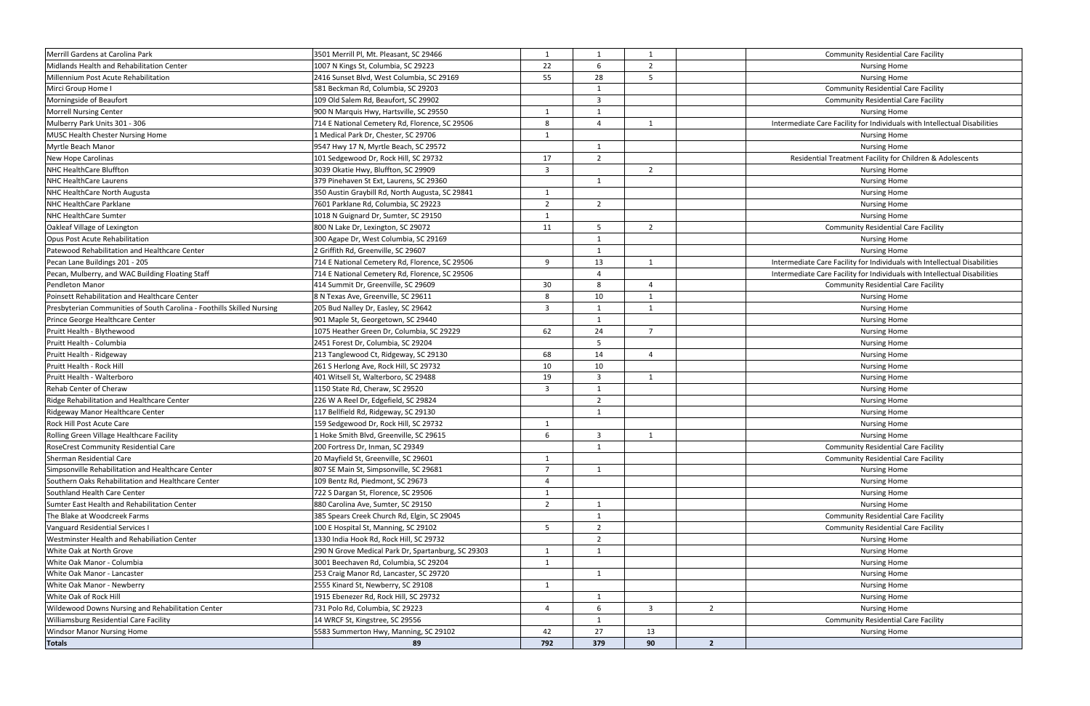| Merrill Gardens at Carolina Park                                       | 3501 Merrill Pl, Mt. Pleasant, SC 29466            | 1                       | 1              | 1              |                | <b>Community Residential Care Facility</b>                                |
|------------------------------------------------------------------------|----------------------------------------------------|-------------------------|----------------|----------------|----------------|---------------------------------------------------------------------------|
| Midlands Health and Rehabilitation Center                              | 1007 N Kings St, Columbia, SC 29223                | 22                      | 6              | $\overline{2}$ |                | <b>Nursing Home</b>                                                       |
| Millennium Post Acute Rehabilitation                                   | 2416 Sunset Blvd, West Columbia, SC 29169          | 55                      | 28             | -5             |                | <b>Nursing Home</b>                                                       |
| Mirci Group Home I                                                     | 581 Beckman Rd, Columbia, SC 29203                 |                         | 1              |                |                | <b>Community Residential Care Facility</b>                                |
| Morningside of Beaufort                                                | 109 Old Salem Rd, Beaufort, SC 29902               |                         | $\overline{3}$ |                |                | <b>Community Residential Care Facility</b>                                |
| Morrell Nursing Center                                                 | 900 N Marquis Hwy, Hartsville, SC 29550            | 1                       | 1              |                |                | <b>Nursing Home</b>                                                       |
| Mulberry Park Units 301 - 306                                          | 714 E National Cemetery Rd, Florence, SC 29506     | 8                       | $\overline{4}$ | 1              |                | Intermediate Care Facility for Individuals with Intellectual Disabilities |
| MUSC Health Chester Nursing Home                                       | 1 Medical Park Dr, Chester, SC 29706               | $\overline{1}$          |                |                |                | <b>Nursing Home</b>                                                       |
| Myrtle Beach Manor                                                     | 9547 Hwy 17 N, Myrtle Beach, SC 29572              |                         | $\overline{1}$ |                |                | <b>Nursing Home</b>                                                       |
| New Hope Carolinas                                                     | 101 Sedgewood Dr, Rock Hill, SC 29732              | 17                      | $\overline{2}$ |                |                | Residential Treatment Facility for Children & Adolescents                 |
| NHC HealthCare Bluffton                                                | 3039 Okatie Hwy, Bluffton, SC 29909                | $\overline{\mathbf{3}}$ |                | 2              |                | <b>Nursing Home</b>                                                       |
| <b>NHC HealthCare Laurens</b>                                          | 379 Pinehaven St Ext, Laurens, SC 29360            |                         | 1              |                |                | <b>Nursing Home</b>                                                       |
| NHC HealthCare North Augusta                                           | 350 Austin Graybill Rd, North Augusta, SC 29841    | 1                       |                |                |                | <b>Nursing Home</b>                                                       |
| NHC HealthCare Parklane                                                | 7601 Parklane Rd, Columbia, SC 29223               | $\overline{2}$          | 2              |                |                | <b>Nursing Home</b>                                                       |
| NHC HealthCare Sumter                                                  | 1018 N Guignard Dr, Sumter, SC 29150               | 1                       |                |                |                | <b>Nursing Home</b>                                                       |
| Oakleaf Village of Lexington                                           | 800 N Lake Dr, Lexington, SC 29072                 | 11                      | 5              | $\overline{2}$ |                | <b>Community Residential Care Facility</b>                                |
| Opus Post Acute Rehabilitation                                         | 300 Agape Dr, West Columbia, SC 29169              |                         | 1              |                |                | <b>Nursing Home</b>                                                       |
| Patewood Rehabilitation and Healthcare Center                          | 2 Griffith Rd, Greenville, SC 29607                |                         | 1              |                |                | <b>Nursing Home</b>                                                       |
| Pecan Lane Buildings 201 - 205                                         | 714 E National Cemetery Rd, Florence, SC 29506     | 9                       | 13             | $\overline{1}$ |                | Intermediate Care Facility for Individuals with Intellectual Disabilities |
| Pecan, Mulberry, and WAC Building Floating Staff                       | 714 E National Cemetery Rd, Florence, SC 29506     |                         | $\overline{4}$ |                |                | Intermediate Care Facility for Individuals with Intellectual Disabilities |
| <b>Pendleton Manor</b>                                                 | 414 Summit Dr, Greenville, SC 29609                | 30                      | 8              | $\overline{a}$ |                | <b>Community Residential Care Facility</b>                                |
| Poinsett Rehabilitation and Healthcare Center                          | 8 N Texas Ave, Greenville, SC 29611                | $\mathbf{8}$            | 10             | $\overline{1}$ |                | <b>Nursing Home</b>                                                       |
| Presbyterian Communities of South Carolina - Foothills Skilled Nursing | 205 Bud Nalley Dr, Easley, SC 29642                | $\overline{\mathbf{3}}$ | 1              | $\overline{1}$ |                | <b>Nursing Home</b>                                                       |
| Prince George Healthcare Center                                        | 901 Maple St, Georgetown, SC 29440                 |                         | 1              |                |                | <b>Nursing Home</b>                                                       |
| Pruitt Health - Blythewood                                             | 1075 Heather Green Dr, Columbia, SC 29229          | 62                      | 24             | $\overline{7}$ |                | <b>Nursing Home</b>                                                       |
| Pruitt Health - Columbia                                               | 2451 Forest Dr, Columbia, SC 29204                 |                         | 5              |                |                | <b>Nursing Home</b>                                                       |
| Pruitt Health - Ridgeway                                               | 213 Tanglewood Ct, Ridgeway, SC 29130              | 68                      | 14             | $\overline{a}$ |                | <b>Nursing Home</b>                                                       |
| Pruitt Health - Rock Hill                                              | 261 S Herlong Ave, Rock Hill, SC 29732             | 10                      | 10             |                |                | Nursing Home                                                              |
| Pruitt Health - Walterboro                                             | 401 Witsell St, Walterboro, SC 29488               | 19                      | $\overline{3}$ | -1             |                | <b>Nursing Home</b>                                                       |
| Rehab Center of Cheraw                                                 | 1150 State Rd, Cheraw, SC 29520                    | $\overline{3}$          | $\mathbf{1}$   |                |                | <b>Nursing Home</b>                                                       |
| Ridge Rehabilitation and Healthcare Center                             | 226 W A Reel Dr, Edgefield, SC 29824               |                         | $\overline{2}$ |                |                | <b>Nursing Home</b>                                                       |
| Ridgeway Manor Healthcare Center                                       | 117 Bellfield Rd, Ridgeway, SC 29130               |                         | 1              |                |                | <b>Nursing Home</b>                                                       |
| Rock Hill Post Acute Care                                              | 159 Sedgewood Dr, Rock Hill, SC 29732              | -1                      |                |                |                | <b>Nursing Home</b>                                                       |
| Rolling Green Village Healthcare Facility                              | 1 Hoke Smith Blvd, Greenville, SC 29615            | 6                       | $\overline{3}$ | 1              |                | <b>Nursing Home</b>                                                       |
| RoseCrest Community Residential Care                                   | 200 Fortress Dr, Inman, SC 29349                   |                         | $\mathbf{1}$   |                |                | <b>Community Residential Care Facility</b>                                |
| Sherman Residential Care                                               | 20 Mayfield St, Greenville, SC 29601               | -1                      |                |                |                | <b>Community Residential Care Facility</b>                                |
| Simpsonville Rehabilitation and Healthcare Center                      | 807 SE Main St, Simpsonville, SC 29681             | $\overline{7}$          | 1              |                |                | <b>Nursing Home</b>                                                       |
| Southern Oaks Rehabilitation and Healthcare Center                     | 109 Bentz Rd, Piedmont, SC 29673                   | $\overline{4}$          |                |                |                | <b>Nursing Home</b>                                                       |
| Southland Health Care Center                                           | 722 S Dargan St, Florence, SC 29506                | $\mathbf{1}$            |                |                |                | <b>Nursing Home</b>                                                       |
| Sumter East Health and Rehabilitation Center                           | 880 Carolina Ave, Sumter, SC 29150                 | $\overline{2}$          | 1              |                |                | <b>Nursing Home</b>                                                       |
| The Blake at Woodcreek Farms                                           | 385 Spears Creek Church Rd, Elgin, SC 29045        |                         | 1              |                |                | <b>Community Residential Care Facility</b>                                |
| Vanguard Residential Services I                                        | 100 E Hospital St, Manning, SC 29102               | 5                       | $\overline{2}$ |                |                | <b>Community Residential Care Facility</b>                                |
| Westminster Health and Rehabiliation Center                            | 1330 India Hook Rd, Rock Hill, SC 29732            |                         | $\overline{2}$ |                |                | <b>Nursing Home</b>                                                       |
| White Oak at North Grove                                               | 290 N Grove Medical Park Dr, Spartanburg, SC 29303 | 1                       | 1              |                |                | <b>Nursing Home</b>                                                       |
| White Oak Manor - Columbia                                             | 3001 Beechaven Rd, Columbia, SC 29204              | $\mathbf{1}$            |                |                |                | <b>Nursing Home</b>                                                       |
| White Oak Manor - Lancaster                                            | 253 Craig Manor Rd, Lancaster, SC 29720            |                         | 1              |                |                | <b>Nursing Home</b>                                                       |
| White Oak Manor - Newberry                                             | 2555 Kinard St, Newberry, SC 29108                 | -1                      |                |                |                | <b>Nursing Home</b>                                                       |
| White Oak of Rock Hill                                                 | 1915 Ebenezer Rd, Rock Hill, SC 29732              |                         | 1              |                |                | <b>Nursing Home</b>                                                       |
| Wildewood Downs Nursing and Rehabilitation Center                      | 731 Polo Rd, Columbia, SC 29223                    | $\overline{4}$          | 6              | 3              | $\overline{2}$ | <b>Nursing Home</b>                                                       |
| Williamsburg Residential Care Facility                                 | 14 WRCF St, Kingstree, SC 29556                    |                         | 1              |                |                | <b>Community Residential Care Facility</b>                                |
| <b>Windsor Manor Nursing Home</b>                                      | 5583 Summerton Hwy, Manning, SC 29102              | 42                      | 27             | 13             |                | <b>Nursing Home</b>                                                       |
| <b>Totals</b>                                                          | 89                                                 | 792                     | 379            | 90             | $\mathbf{2}$   |                                                                           |
|                                                                        |                                                    |                         |                |                |                |                                                                           |